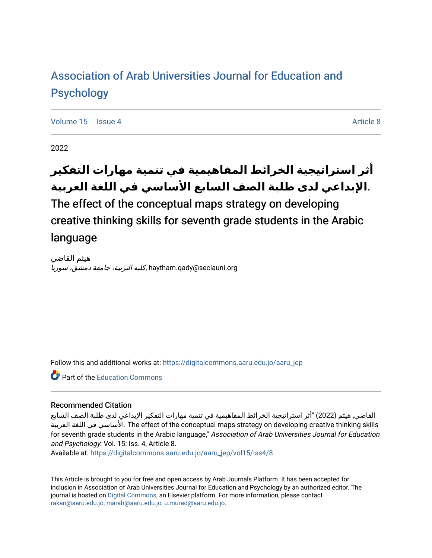## [Association of Arab Universities Journal for Education and](https://digitalcommons.aaru.edu.jo/aaru_jep) [Psychology](https://digitalcommons.aaru.edu.jo/aaru_jep)

[Volume 15](https://digitalcommons.aaru.edu.jo/aaru_jep/vol15) Setsue 4 [Article 8](https://digitalcommons.aaru.edu.jo/aaru_jep/vol15/iss4/8) Article 8 Article 8 Article 8 Article 8 Article 8

2022

# **أثر استراتيجية الخرائط المفاهيمية في تنمية مهارات التفكير** .**اإلبداعي لدى طلبة الصف السابع األساسي في اللغة العربية**

The effect of the conceptual maps strategy on developing creative thinking skills for seventh grade students in the Arabic language

هيثم القاضي haytham.qady@seciauni.org.كلية التربية، جامعة دمشق، سوريا

Follow this and additional works at: [https://digitalcommons.aaru.edu.jo/aaru\\_jep](https://digitalcommons.aaru.edu.jo/aaru_jep?utm_source=digitalcommons.aaru.edu.jo%2Faaru_jep%2Fvol15%2Fiss4%2F8&utm_medium=PDF&utm_campaign=PDFCoverPages)

Part of the [Education Commons](http://network.bepress.com/hgg/discipline/784?utm_source=digitalcommons.aaru.edu.jo%2Faaru_jep%2Fvol15%2Fiss4%2F8&utm_medium=PDF&utm_campaign=PDFCoverPages)

#### Recommended Citation

القاضي, هيثم (2022) "أثر استراتيجية الخرائط المفاهيمية في تنمية مهارات التفكير اإلبداعي لدى طلبة الصف السابع الأساسي في اللغة العربية The effect of the conceptual maps strategy on developing creative thinking skills. for seventh grade students in the Arabic language," Association of Arab Universities Journal for Education and Psychology: Vol. 15: Iss. 4, Article 8.

Available at: [https://digitalcommons.aaru.edu.jo/aaru\\_jep/vol15/iss4/8](https://digitalcommons.aaru.edu.jo/aaru_jep/vol15/iss4/8?utm_source=digitalcommons.aaru.edu.jo%2Faaru_jep%2Fvol15%2Fiss4%2F8&utm_medium=PDF&utm_campaign=PDFCoverPages) 

This Article is brought to you for free and open access by Arab Journals Platform. It has been accepted for inclusion in Association of Arab Universities Journal for Education and Psychology by an authorized editor. The journal is hosted on [Digital Commons,](https://www.elsevier.com/solutions/digital-commons) an Elsevier platform. For more information, please contact [rakan@aaru.edu.jo, marah@aaru.edu.jo, u.murad@aaru.edu.jo.](mailto:rakan@aaru.edu.jo,%20marah@aaru.edu.jo,%20u.murad@aaru.edu.jo)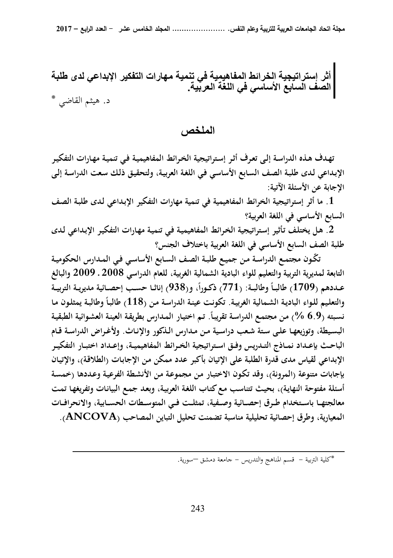أثر إستراتيجية الخرائط المفاهيمية في تنمية مهارات التفكير الإبداعي لدى طلبة الصف السابع الأسا*سي* ف*ي* اللغة العربية. د. هيثم القاضي \*

## ا**لملخص** ،

**تهـدف هـذه الدراسـة إلـى تعـرف أثـر إسـتراتيجية الخـرائط المفاهيميـة فـي تنميـة مهـارات التفكيـر الإبـداعي لـدى طلبـة الصـف السـابع الأساسـي فـي اللغـة العربيـة، ولتحقيـق ذلـك سـعت الدراسـة إلـى الإجابة عن الأسئلة الآتية:** 

**.1 ما أثر إستراتيجية الخرائط المفاهيمية في تنمية مهارات التفكير الإبـداعي لـدى طلبـة الصـف السابع الأساسي في اللغة العربية؟** 

**.2 هـل يختلـف تـأثير إسـتراتيجية الخـرائط المفاهيميـة فـي تنميـة مهـارات التفكيـر الإبـداعي لـدى طلبة الصف السابع الأساسي في اللغة العربية باختلاف الجنس؟** 

 **ّ تكـون مجتمـع الدراسـة مـن جميـع طلبـة الصـف السـابع الأساسـي فـي المـدارس الحكوميـة التابعة لمديرية التربية والتعليم للواء البادية الشمالية الغربية، للعام الدراسي 2008 ـ 2009 والبالغ ،ً و(938) إناثــا حســب إحصــائية مديريــة التربيــة ً وطالبــة: (771) ذكــورا عــددهم (1709) طالبــا ً وطالبـة يمثلـون مـا والتعلـيم للـواء الباديـة الشـمالية الغربيـة. تكونـت عينـة الدراسـة مـن (118) طالبـا ً نسـبته (6.9 % . تـم اختيـار المـدارس بطريقـة العينـة ) مـن مجتمـع الدراسـة تقريبـا العشـوائية الطبقيـة البسـيطة، وتوزيعهـا علـى سـتة شـعب دراسـية مـن مـدارس الـذكور والإنـاث. ولأغـراض الدراسـة قــام الباحــث بإعــداد نمــاذج التــدريس وفــق اســتراتيجية الخــرائط المفاهيميــة، وإعــداد اختبــار التفكيــر الإبداعي لقياس مدى قدرة الطلبة على الإتيان بأكبر عدد ممكن مـن الإجابـات (الطلاقـة)، والإتيـان بإجابات متنوعة (المرونة)، وقد تكـون الاختبـار مـن مجموعـة مـن الأنشـطة الفرعيـة وعـددها (خمسـة أسئلة مفتوحة النهايـة) ، بحيـث تتناسـب مـع كتـاب اللغـة العربيـة، وبعـد جمـع البيانـات وتفريغهـا تمـت معالجتهــا باســتخدام طــرق إحصــائية وصــفية، تمثلــت فــي المتوســطات الحســابية، والانحرافــات المعيارية، وطرق إحصائية تحليلية مناسبة تضمنت تحليل التباين المصاحب (ANCOVA( .**

\*كلية التربية - قسم المناهج والتدريس - جامعة دمشق –سورية.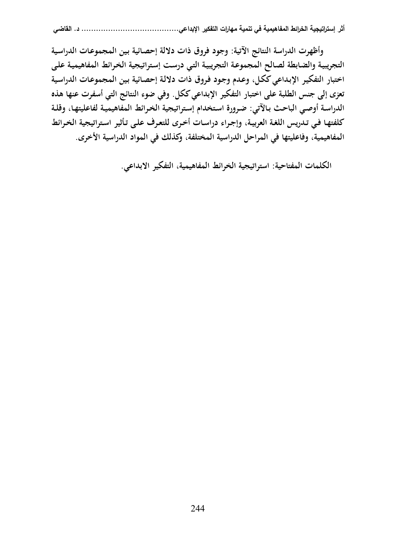**وأظهرت الدراسة النتائج الآتية: وجود فروق ذات دلالة إحصـائية بـين المجموعـات الدراسـية التجريبيـة والضـابطة لصـالح المجموعـة التجريبيـة التـي درسـت إسـتراتيجية الخـرائط المفاهيميـة علـى اختبار التفكيـر الإبـداعي ككـل، وعـدم وجـود فـروق ذات دلالـة إحصـائية بـين المجموعـات الدراسـية تعزى إلى جنس الطلبة على اختبار التفكير الإبداعي ككل. وفي ضوء النتائج التي أسفرت عنها هذه الدراسـة أوصـي الباحـث بـالآتي: ضـرورة اسـتخدام إسـتراتيجية الخـرائط المفاهيميـة لفاعليتهـا، وقلـة كلفتهـا فـي تـدريس اللغـة العربيـة، وإجـراء دراسـات أخـرى للتعـرف علـى تـأثير اسـتراتيجية الخـرائط المفاهيمية، وفاعليتها في المراحل الدراسية المختلفة، وكذلك في المواد الدراسية الأخرى.** 

**الك لمات المفتاحية: استراتيجية الخرائط المفاهيمية، التفكير الابداعي.**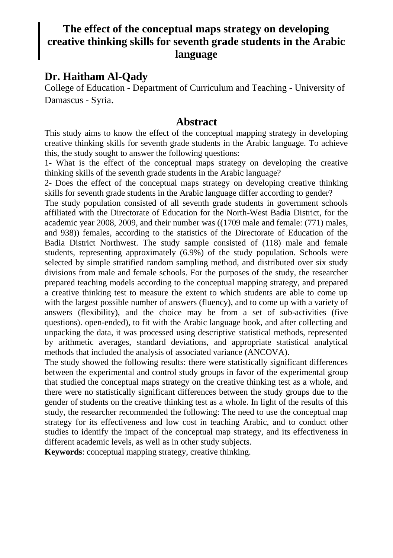## **The effect of the conceptual maps strategy on developing creative thinking skills for seventh grade students in the Arabic language**

## **Dr. Haitham Al-Qady**

College of Education - Department of Curriculum and Teaching - University of Damascus - Syria.

### **Abstract**

This study aims to know the effect of the conceptual mapping strategy in developing creative thinking skills for seventh grade students in the Arabic language. To achieve this, the study sought to answer the following questions:

1- What is the effect of the conceptual maps strategy on developing the creative thinking skills of the seventh grade students in the Arabic language?

2- Does the effect of the conceptual maps strategy on developing creative thinking skills for seventh grade students in the Arabic language differ according to gender?

The study population consisted of all seventh grade students in government schools affiliated with the Directorate of Education for the North-West Badia District, for the academic year 2008, 2009, and their number was ((1709 male and female: (771) males, and 938)) females, according to the statistics of the Directorate of Education of the Badia District Northwest. The study sample consisted of (118) male and female students, representing approximately (6.9%) of the study population. Schools were selected by simple stratified random sampling method, and distributed over six study divisions from male and female schools. For the purposes of the study, the researcher prepared teaching models according to the conceptual mapping strategy, and prepared a creative thinking test to measure the extent to which students are able to come up with the largest possible number of answers (fluency), and to come up with a variety of answers (flexibility), and the choice may be from a set of sub-activities (five questions). open-ended), to fit with the Arabic language book, and after collecting and unpacking the data, it was processed using descriptive statistical methods, represented by arithmetic averages, standard deviations, and appropriate statistical analytical methods that included the analysis of associated variance (ANCOVA).

The study showed the following results: there were statistically significant differences between the experimental and control study groups in favor of the experimental group that studied the conceptual maps strategy on the creative thinking test as a whole, and there were no statistically significant differences between the study groups due to the gender of students on the creative thinking test as a whole. In light of the results of this study, the researcher recommended the following: The need to use the conceptual map strategy for its effectiveness and low cost in teaching Arabic, and to conduct other studies to identify the impact of the conceptual map strategy, and its effectiveness in different academic levels, as well as in other study subjects.

**Keywords**: conceptual mapping strategy, creative thinking.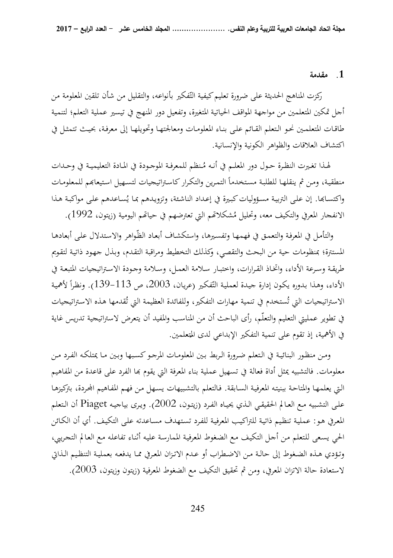#### **.1 مقدمة**

ركزت المناهج الحديثة على ضرورة تعليم كيفية التّفكير بأنواعه، والتقليل من شأن تلقين المعلومة من أجل تمكين المتعلمين من مواجهة المواقف الحياتية المتغيرة، و تفعيل دور المنهج في تيسير عملية التعلم؛ لتنمية طاقـات المتعلمـين نحـو الـتعلم القـائم علـى بنـاء المعلومـات ومعالجتهـا وتحويلهـا إلى معرفـة، بحيـث تتمثـل في اكتشاف العلاقات والظواهر الكونية والإنسانية .

لهـذا تغيرت النظـرة حـول دور المعلـم في أنـه مُـنظم للمعرفـة الموجـودة في المـادة التعليميـة في وحـدات منطقية، ومن ثم ينقلهـا للطلبة مستخدماً التمرين والتكرار كاستراتيجيات لتسهيل استيعابَم للمعلومـات واكتسـابها. إن علـى التربيـة مسؤوليات كبيرة في إعـداد الناشئة، وتزويدهم بمـا يُسـاعدهم علـى مواكبـة هـذا الانفجار المعرفي والتكيف معه، وتحليل مُشكلاتمم التي تعترضهم في حياتمم اليومية (زيتون، 1992).

 و التأمـل في المعرفـة والتعمـق في فهمهـا وتفسـيرها، واستكشـاف أبعـاد الظّـواهر والاسـتدلال علـى أبعادهـا المستترة؛ بمنظومات حية من البحث والتقصي، وكذلك التخطيط ومراقبة التقـدم، وبـذل جهـود ذاتيـة لتقـويم طريقـة وسـرعة الأداء، واتخـاذ القـرارات، واختبـار سـلامة العمـل، وسـلامة وجـودة الاسـتراتيجيات المتبعـة في الأداء، وهذا بدوره يكون إدارة جيدة لعملية التّفكير (عريان، 2003، ص 113–139). ونظراً لأهمية اً الاستراتيجيات التي تُستخدم في تنمية مهارات التفكير، وللفائدة العظيمة التي تُقدمها هذه الاستراتيجيات في تطوير عمليتي التعليم والتعلّم، رأى الباحث أن من المناسب والمفيد أن يتعرض لاستراتيجية تدريس غاية في الأهمية، إذ تقوم على تنمية التفكير الإبداعي لدى المتعلمين.<br>-

 و مـن منظـور البنائيـة في الـتعلم ضـرورة الـربط بـين المعلومـات المرجـو كسـبها وبـين مـا يمتلكـه الفـرد مـن معلومات. فالتشبيه يمثل أداة فعالة في تسهيل عملية بناء المعرفة التي يقوم بما الفرد على قاعدة من المفاهيم الـتي يعلمهـا والمتاحـة ببنيتـه المعرفيـة السـابقة. فـالتعلم بالتشـبيهات يسـهل مـن فهـم المفـاهيم اـردة، بتركيزهـا علـى التشـبيه مـع العـالم الحقيقـي الـذي يحيـاه الفـرد (زيتـون، 2002 ). ويـرى بياجيـه Piaget أن الـتعلم المعـرفي هـو: عمليـة تنظـيم ذاتيـة للتراكيـب المعرفيـة للفـرد تسـتهدف مسـاعدته علـى التكيـف. أي أن الكـائن الحي يسـعى للـتعلم مـن أجـل التكيـف مـع الضـغوط المعرفيـة الممارسـة عليـه أثنـاء تفاعلـه مـع العـالم التجـريبي، وتـؤدي هـذه الضـغوط إلى حالـة مـن الاضــطراب أو عـدم الاتـزان المعـرفي ممـا يدفعـه بعمليـة التنظـيم الـذاتي لاستعادة حالة الاتزان المعرفي ، ومن ثم تحقيق التكيف مع الضغوط المعرفية (زيتون وزيتون، 2003 ).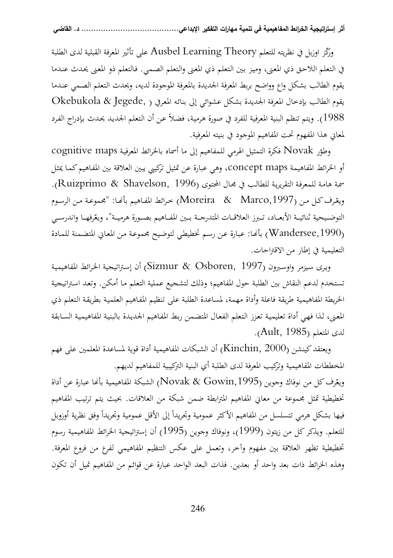وركّز اوزبل في نظريته للتعلم Ausbel Learning Theory على تأثير المعرفة القبلية لدى الطلبة في الـتعلم اللاحـق ذي المعـنى، وميـز بـين الـتعلم ذي المعـنى والـتعلم الصـمي. فـالتعلم ذو المعـنى يحـدث عنـدما يقوم الطالب بشكل واع وواضح بربط المعرفة الجديدة بالمعرفة الموجودة لديه، ويحدث الـتعلم الصـمي عنـدما يقوم الطالب بإدخال المعرفة الجديدة بشكل عشوائي إلى بنائـه المعـرفي ( ,Jegede & Okebukola 1988). ويتم تنظم البنية المعرفية للفرد في صورة هرميـة، فضـلاً عـن أن الـتعلم الجديـد يحـدث بـإدراج الفـرد لمعاني هذا المفهوم تحت المفاهيم الموجود في بنيته المعرفية.

وطوّر Novak فكرة التمثيل الهرمي للمفاهيم إلى ما أسماه بالخرائط المعرفية cognitive maps أو الخرائط المفاهيمة maps concept، وهي عبارة عن تمثيل تركيبي يبين العلاقة بين المفـاهيم كمـا يمثـل سمة هامـة للمعرفـة التقريريـة للطالب في مجـال المحتوى (Ruizprimo & Shavelson, 1996). ويعّرف كـل مـن (Moreira & Marco,1997) خـرائط المفـاهيم بأنَّفـا: "مجموعـة مـن الرسـوم التوضـيحية ثنائيــة الأبعــاد، تـبرز العلاقــات المتدرجــة بــين المفــاهيم بصــورة هرميــة"، ويعّرفهــا واندرســي (,1990Wandersee (بأـا : عبـارة عـن رسـم تخطيطـي لتوضـيح مجموعـة مـن المعـاني المتضـمنة للمـادة التعليمية في إطار من الاقتراحات.

ويرى سيزمر واوسبرون (Sizmur & Osboren, 1997) أن إستراتيجية الخرائط المفاهيمية تستخدم لدعم النقاش بين الطلبة حول المفاهيم؛ وذلك لتشجيع عملية التعلم مـا أمكـن. وتعـد اسـتراتيجية الخريطة المفاهيمية طريقة فاعلة وأداة مهمة، لمساعدة الطلبة على تنظيم المفـاهيم العلميـة بطريقـة الـتعلم ذي المعنى، لـذا فهـي أداة تعليميـة تعـزز التعلم الفعـال المتضـمن ربط المفـاهيم الجـديـدة بالبنيـة المفاهيميـة السـابقة لدى المتعلم ( 1985 ,Ault( .

ويعتقد كينشن (Kinchin, 2000) أن الشبكات المفاهيمية أداة قوية لمساعدة المعلمين على فهم المخططات المفاهيمية وتركيب المعرفة لدى الطلبة أي البنية التركيبية للمفاهيم لديهم. ويعّرف كل من نوفاك وجوين (Novak & Gowin,1995) الشبكة المفاهيمية بأنحا عبارة عن أداة تخطيطية تمثل مجموعة من معاني المفاهيم المترابطة ضمن شبكة من العلاقات. بحيث يتم ترتيب المفاهيم فيها بشكل هرمي تتسلسل من المفاهيم الأكثر عمومية وتجريداً إلى الأقل عمومية وتجريداً وفق نظرية أوزوبل للتعلم. ويذكر كل من زيتون (1999)، ونوفاك وجوين (1995) أن إستراتيجية الخرائط المفاهيمية رسوم تخطيطية تظهر العلاقة بين مفهوم وآخر، وتعمل على عكس التنظيم المفاهيمي لفرع من فروع المعرفة. وهذه الخرائط ذات بعد واحد أو بعدين. فذات البعد الواحد عبارة عن قوائم من المفاهيم تميل أن تكون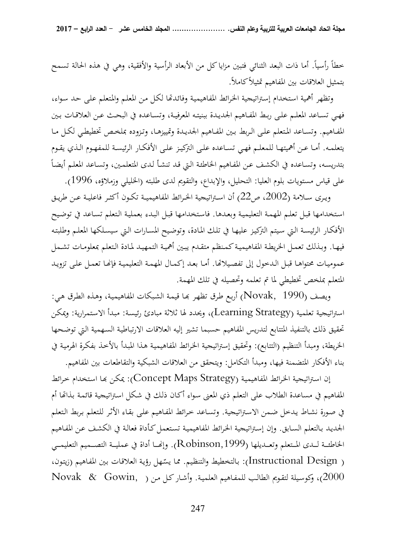خطأ رأسياً. أما ذات البعد الثنائي فتبين مزايا كل من الأبعاد الرأسية والأفقية، وهي في هذه الحالة تسمح بتمثيل العلاقات بين المفاهيم تمثيلاً كاملا.ً

 وتظهر أهمية اسـتخدام إسـتراتيجية الخـرائط المفاهيميـة وفائـدا لكـل مـن المعلـم والمـتعلم علـى حـد سـواء، فهـي تسـاعد المعلـم علـى ربـط المفـاهيم الجديـدة ببنيتـه المعرفيـة، وتسـاعده في البحـث عـن العلاقـات بـين المفــاهيم. وتســاعد المــتعلم علــى الــربط بــين المفــاهيم الجديــدة وتمييزهــا، وتــزوده بملخــص تخطيطــي لكــل مــا يتعلمــه. أمــا عــن أهميتهــا للمعلــم فهــي تســاعده علــى التركيــز علــى الأفكــار الرئيســة للمفهــوم الــذي يقــوم اً بتدريسـه، وتسـاعده في الكشـف عـن المفـاهيم الخاطئـة الـتي قـد تنشـأ لـدى المتعلمـين، وتسـاعد المعلـم أيضـا على قياس مستويات بلوم العليا: التحليل، والإبداع، والتقويم لدى طلبته (الخليلي وزملاؤه، 1996 ).

ويـرى سـلامة (2002، ص22) أن اسـتراتيجية الخـرائط المفاهيميــة تكـون أكثـر فاعليـة عـن طريـق اسـتخدامها قبـل تعلـم المهمـة التعليميـة وبعـدها. فاسـتخدامها قبـل البـدء بعمليـة الـتعلم تسـاعد في توضـيح الأفكـار الرئيسـة الـتي سـيتم التركيـز عليهـا في تلـك المـادة، وتوضـيح المسـارات الـتي سيسـلكها المعلـم وطلبتـه فيهـا. وبـذلك تعمـل الخريطـة المفاهيميـة كمـنظم متقـدم يبـين أهميــة التمهيـد لمـادة الـتعلم بمعلومـات تشـمل عموميـات محتواهـا قبـل الـدخول إلى تفصيلاتها. أمـا بعـد إكمـال المهمـة التعليميـة فإنهـا تعمـل علـى تزويـد المتعلم بملخص تخطيطي لما تم تعلمه وتحصيله في تلك المهمة.

ويصف (Novak, 1990) أربع طرق تظهر بحا قيمة الشبكات المفاهيمية، وهذه الطرق هي: استراتيجية تعلمية (Strategy Learning( ، ويحدد لها ثلاثة مبادئ رئيسـة: مبـدأ الاسـتمرارية: ويمكـن تحقيق ذلك بالتنفيذ المتتابع لتدريس المفاهيم حسبما تشير إليه العلاقات الارتباطيـة السـهمية الـتي توضـحها الخريطة، ومبدأ التنظيم (التتابع): وتحقيق إستراتيجية الخـرائط المفاهيميـة هـذا المبـدأ بالأخـذ بفكـرة الهرميـة في بناء الأفكار المتضمنة فيها، ومبدأ التكامل: ويتحقق من العلاقات الشبكية والتقاطعات بين المفاهيم .

 إن اسـتراتيجية الخـرائط المفاهيميـة (Strategy Maps Concept(: يمكـن ـا اسـتخدام خـرائط المفاهيم في مساعدة الطلاب على التعلم ذي المعنى سواء أكـان ذلك في شكل اسـتراتيجية قائمـة بـذاتها أم في صـورة نشـاط يـدخل ضـمن الاسـتراتيجية. وتسـاعد خـرائط المفـاهيم علـى بقـاء الأثـر للـتعلم بـربط الـتعلم الجديـد بـالتعلم السـابق. وإن إسـتراتيجية الخـرائط المفاهيميـة تسـتعمل كـأداة فعالـة في الكشـف عـن المفـاهيم الخاطئــة لــدى المـتعلم وتعــديلها (Robinson,1999). وإنّصــا أداة في عمليــة التصــميم التعليمــي ـهل Instructional Design ) ّ ): بـالتخطيط والتنظـيم. ممـا يس رؤيـة العلاقـات بـين المفـاهيم (زيتـون، 2000)، و كوسـيلة لتقـويم الطالـب للمفـاهيم العلميـة. وأشـار كـل مـن ( ,Gowin & Novak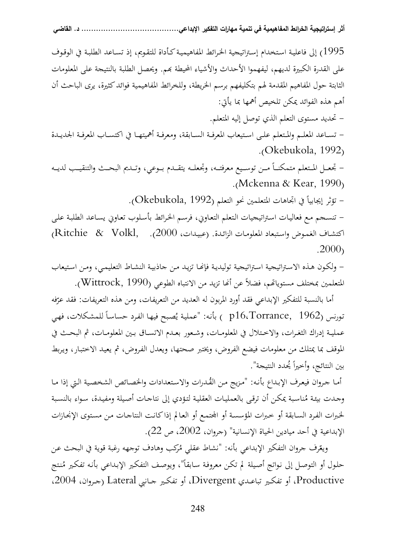1995) إلى فاعليـة اسـتخدام إسـتراتيجية الخـرائط المفاهيميـة كـأداة للتقـويم، إذ تسـاعد الطلبـة في الوقـوف على القدرة الكبيرة لديهم، ليفهموا الأحداث والأشياء المحيطة بهم. ويحصل الطلبة بالنتيجة على المعلومات الثابتة حول المفاهيم المقدمة لهم بتكليفهم برسم الخريطة، وللخرائط المفاهيمية فوائد كثيرة، يرى الباحث أن أهم هذه الفوائد يمكن تلخيص أهمها بما يأتي:

- تحديد مستوى التعلم الذي توصل إليه المتعلم.

 - تســاعد المعلــم والمــتعلم علــى اســتيعاب المعرفــة الســابقة، ومعرفــة أهميتهــا في اكتســاب المعرفــة الجديــدة . (Okebukola, 1992)

– تجعــل المـتعلم متمكنــاً مــن توســيع معرفتــه، وتجعلــه يتقــدم بــوعي، وتــديم البحــث والتنقيــب لديــه . (Mckenna & Kear, 1990)

– تؤثر إيجابياً في اتجاهات المتعلمين نحو التعلم (Okebukola, 1992).

 - تنسـجم مـع فعاليـات اسـتراتيجيات الـتعلم التعـاوني، فرسـم الخـرائط بأسـلوب تعـاوني يسـاعد الطلبـة علـى اكتشـاف الغمـوض واسـتبعاد المعلومـات الزائـدة. (عبيـدات، 2000). ,Volkl & Ritchie( . 2000)

 - ولكـون هـذه الاسـتراتيجية اسـتراتيجية توليديـة فإـا تزيـد مـن جاذبيـة النشـاط التعليمـي، ومـن اسـتيعاب المتعلمين بمختلف مستوياتهم، فضلاً عن أنما تزيد من الانتباه الطوعي (Wittrock, 1990).

أما بالنسبة للتفكير الإبداعي فقد أورد المربون له العديد من التعريفات، ومن هذه التعريفات: فقد عرّفه تورنس (1962 ,p16،Torrance ) بأنه: "عملية يُصبح فيها الفرد حساساً للمشكلات، فهي عمليــة إدراك الثغــرات، والاخــتلال في المعلومــات، وشــعور بعــدم الاتســاق بــين المعلومــات، ثم البحــث في الموقف بما يمتلك من معلومات فيضع الفروض، ويختبر صحتها، ويعدل الفـروض، ثم يعيـد الاختبـار، ويـربط بين النتائج، وأخيراً يُحدد النتيجة".

أما جروان فيعرف الإبداع بأنـه: "مزيج من القُدرات والاستعدادات والخصـائص الشخصية التي إذا مـا وجـدت بيئة مُناسبة يمكن أن ترقى بالعمليات العقلية لتؤدي إلى نتاجـات أصيلة ومفيـدة، سواء بالنسبة لخـبرات الفـرد السـابقة أو خـبرات المؤسسـة أو اتمـع أو العـالم إذا كانـت النتاجـات مـن مسـتوى الإنجـازات الإبداعية في أحد ميادين الحياة الإنسانية" (جروان، 2002، ص 22).

ويعّرف جروان التفكير الإبداعي بأنه: "نشاط عقلي مُركب وهادف توجهه رغبة قوية في البحث عن حلول أو التوصـل إلى نواتج أصيلة لم تكـن معروفـة سـابقاً"، ويوصف التفكير الإبـداعي بأنـه تفكير مُنتج Productive، أو تفكــير تباعــدي Divergent، أو تفكــير جــانبي Lateral) جــروان، ،2004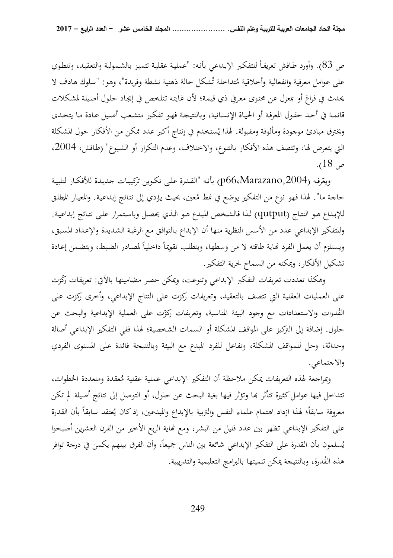ص 83). وأورد طافش تعريفاً للتفكير الإبداعي بأنه: "عملية عقلية تتميز بالشمولية والتعقيد، وتنطوي على عوامل معرفية وانفعالية وأخلاقية مُتداخلة تُشكل حالة ذهنية نشطة وفريدة"، وهو: "سلوك هادف لا يحدث في فراغ أو بمعزل عن محتـوى معـرفي ذي قيمـة؛ لأن غايتـه تـتلخص في إيجـاد حلـول أصـيلة لمشـكلات قائمـة في أحـد حقـول المعرفـة أو الحيـاة الإنسـانية، وبالنتيجـة فهـو تفكـير متشـعب أصـيل عـادة مـا يتحـدى ويخترق مبادئ موجودة ومألوفة ومقبولة. لهذا يُستخدم في إنتاج أكبر عدد ممكن من الأفكار حول المشكلة التي يتعرض لها، وتتصف هذه الأفكار بالتنوع، والاختلاف، وعدم التكرار أو الشـيوع" (طـافش، ،2004 ص 18 ).

ويعّرفه (p66،Marazano,2004) بأنـه "القـدرة علـى تكـوين تركيبـات جديـدة للأفكـار لتلبيـة حاجة ما". لهذا فهو نوع من التفكير يوضع في نمط مُعين، بحيث يؤدي إلى نتـائج إبداعيـة. والمعيـار المطلـق<br>.. للإبـداع هـو النتـاج (qutput) لـذا فالشـخص المبـدع هـو الـذي يحصـل وباسـتمرار علـى نتـائج إبداعيـة. وللتفكير الإبداعي عدد من الأسس النظرية منها أن الإبداع بـالتوافق مـع الرغبـة الشـديدة والإعـداد المسـبق، ويستلزم أن يعمل الفرد نحاية طاقته لا من وسطها، ويتطلب تقويماً داخلياً لمصادر الضبط، ويتضمن إعادة تشكيل الأفكار، ويمكنه من السماح لحرية التفكير.

وهكذا تعددت تعريفات التفكير الإبداعي وتنوعت، ويمكن حصر مضامينها بالآتي: تعريفات رَّذرت على العمليات العقلية التي تتصف بالتعقيد، وتعريفات ركزت على النتاج الإبداعي، وأخرى ركزت على الڤُدرات والاستعدادات مع وجود البيئة المناسبة، وتعريفات ركزّت على العملية الإبداعية والبحث عن حلول. إضافة إلى التركيز على المواقف المشكلة أو السمات الشخصية؛ لهذا ففي التفكير الإبداعي أصالة وحداثة، وحل للمواقف المشكلة، وتفاعل للفرد المبدع مع البيئة وبالنتيجة فائدة على المستوى الفردي والاجتماعي.

وبمراجعة لهذه التعريفات يمكن ملاحظة أن التفكير الإبداعي عملية عقلية مُعقدة ومتعددة الخطوات، تتداخل فيها عوامل كثيرة تتأثر بما وتؤثر فيها بغية البحث عن حلول، أو التوصل إلى نتائج أصيلة لم تكن معروفة سابقاً؛ لهذا ازداد اهتمام علماء النفس والتربية بالإبداع والمبدعين، إذ كان يُعتقد سابقاً بأن القدرة على التفكير الإبداعي تظهر بين عدد قليل من البشر، ومع نماية الربع الأخير من القرن العشرين أصبحوا يُسلمون بأن القدرة على التفكير الإبداعي شائعة بين الناس جميعاً، وأن الفرق بينهم يكمن في درجة توافر ي هذه القُدرة، وبالنتيجة يمكن تنميتها بالبرامج التعليمية والتدريبية.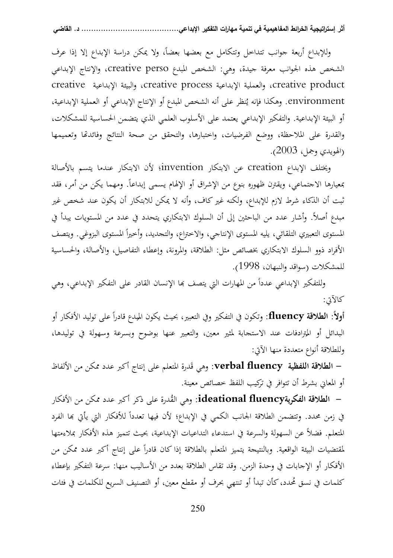وللإبداع أربعة جوانب تتداحل وتتكامل مع بعضها بعضاً، ولا يمكن دراسة الإبداع إلا إذا عرف الشخص هذه الجوانب معرفة جيدة، وهي: الشخص المبدع perso creative، والإنتاج الإبداعي creative الإبداعية والبيئة ،creative process الإبداعية والعملية ،creative product environment. وهكذا فإنه يُنظر على أنه الشخص المبدع أو الإنتاج الإبداعي أو العملية الإبداعية، أو البيئة الإبداعية . والتفكير الإبداعي يعتمد على الأسلوب العلمي الذي يتضمن الحساسية للمشكلات، والقدرة على الملاحظة، ووضع الفرضيات، واختبارها، والتحقق من صحة النتائج وفائدا وتعميمها (الهويدي وجمل، 2003 ).

 ويختلف الإبداع creation عن الابتكار invention؛ لأن الابتكار عندما يتسم بالأصالة بمعيارها الاجتماعي، ويقترن ظهوره بنوع من الإشراق أو الإلهام يسمى إبداعاً. ومهما يكن من أمر، فقد ثبت أن الذكاء شرط لازم للإبداع، ولكنه غير كاف، وأنه لا يمكن للابتكار أن يكون عند شخص غير مبدع أصلاً . وأشار عدد من الباحثين إلى أن السلوك الابتكاري يتحدد في عدد من المستويات يبدأ في المستوى التعبيري التلقائي، يليه المستوى الإنتاجي، والاختراع، والتحديد، وأخيراً المستوى البزوغي. ويتصف الأفراد ذوو السلوك الابتكاري بخصائص مثل: الطلاقة، والمرونة، وإعطاء التفاصيل، والأصالة، والحساسية للمشكلات (سواقد والنبهان، 1998 ).

وللتفكير الإبداعي عدداً من المهارات التي يتصف بما الإنسان القادر على التفكير الإبداعي، وهي كالآتي:

**أولاً: الطلاقة fluency:** وتكون في التفكير وفي التعبير، بحيث يكون الميدع قادراً على توليد الأفكار أو<br>العلماء أعطاط المعادلة اً البدائل أو المترادفات عند الاستحابة لمثير معين، والتعبير عنها بوضوح وبسرعة وسهولة في توليدها،<br>، المنصومة ، مستحدث ، من الله وللطلاقة أنواع متعددة منها الآتي:

**– الطلاقة اللفظية verbal fluency**: وهي قَدرة المتعلم على إنتاج أكبر عدد ممكن من الألفاظ أو المعاني بشرط أن تتوافر في تركيب اللفظ خصائص معينة .

**–** ا**لطلاقة الفكريةideational fluency**: وهي القُدرة على ذكر أكبر عدد ممكن من الأفكار في زمن محدد. وتتضمن الطلاقة الجانب الكمي في الإبداع؛ لأن فيها تعدداً للأفكار التي يأتي بما الفرد المتعلم. فضلاً عن السهولة والسرعة في استدعاء التداعيات الإبداعية، بحيث تتميز هذه الأفكار بملاءمتها لمقتضيات البيئة الواقعية. وبالنتيجة يتميز المتعلم بالطلاقة إذا كان قادراً على إنتاج أكبر عدد ممكن من الأفكار أو الإجابات في وحدة الزمن . وقد تقاس الطلاقة بعدد من الأساليب منها: سرعة التفكير بإعطاء كلمات في نسق مُحدد، كأن تبدأ أو تنتهي بحرف أو مقطع معين، أو التصنيف السريع للكلمات في فئات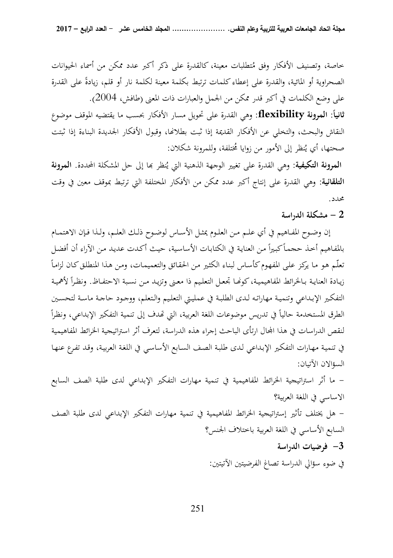خاصة، وتصنيف الأفكار وفق مُتطلبات معينة، كالقدرة على ذكر أكبر عدد ممكن من أسماء الحيوانات الصحراوية أو المائية، والقدرة على إعطاء كلمات ترتبط بكلمة معينة لكلمة نار أو قلم، زيادةً على القدرة على وضع الكلمات في أكبر قدر ممكن من الجمل والعبارات ذات المعنى (طافش، 2004 ). **:ً المرونة ثانيا flexibility:** وهي القدرة على تحويل مسار الأفكار بحسب ما يقتضيه الموقف موضوع النقاش والبحث، والتخلي عن الأفكار القديمة إذا ثبت بطلاعًا، وقبول الأفكار الجديدة البناءة إذا ثبتت صحتها، أي يُنظر إلى الأمور من زوايا مُختلفة، وللمرونة شكلان:

ا**لمرونة التكيفية**: وهي القدرة على تغيير الوجهة الذهنية التي يُنظر بما إلى حل المشكلة المحددة. **المرونة التلقائية:** وهي القدرة على إنتاج أكبر عدد ممكن من الأفكار المختلفة التي ترتبط بموقف معين في وقت محدد.

## **2 - مشكلة الدراسة**

 إن وضــوح المفــاهيم في أي علــم مــن العلــوم يمثــل الأســاس لوضــوح ذلــك العلــم، ولــذا فــإن الاهتمــام بالمفاهيم أخذ ححماً كبيراً من العناية في الكتابات الأساسية، حيث أكدت عديد من الآراء أن أفضل تعلّـم هو ما يركز على المفهوم كأساس لبناء الكثير من الحقائق والتعميمات، ومن هذا المنطلق كـان لزاماً زيـادة العنايـة بـالخرائط المفاهيميـة، كونِّمـا تجعـل التعليم ذا معـنى وتزيـد مـن نسـبة الاحتفــاظ. ونظـراً لأهميـة التفكـير الإبـداعي وتنميـة مهاراتـه لـدى الطلبـة في عمليـتي التعلــيم والـتعلم، ووجـود حاجـة ماسـة لتحسـين الطرق المستخدمة حالياً في تدريس موضوعات اللغة العربية، التي تمدف إلى تنمية التفكير الإبداعي، ونظراً لنقص الدراسات في هذا المحال ارتأى الباحث إجراء هذه الدراسة، لتعرف أثر استراتيجية الخرائط المفاهيمية في تنميـة مهـارات التفكـير الإبـداعي لـدى طلبـة الصـف السـابع الأساسـي في اللغـة العربيـة، وقـد تفـرع عنهـا السؤالان الآتيان:

م - ا أثر استراتيجية الخرائط المفاهيمية في تنمية مهارات التفكير الإبداعي لدى طلبة الصف السابع الاساسي في اللغة العربية ؟

 - هل يختلف تأثير إستراتيجية الخرائط المفاهيمية في تنمية مهارات التفكير الإبداعي لدى طلبة الصف السابع الأساسي في اللغة العربية باختلاف الجنس؟  **3- فرضيات الدراسة** 

في ضوء سؤالي الدراسة تصاغ الفرضيتين الآتيتين: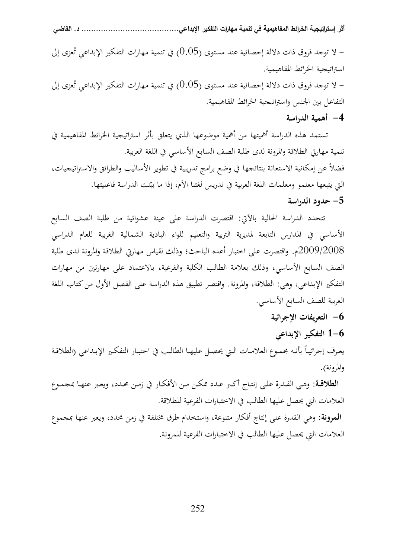ل توجد فروق ذات دلالة إحصائية عند مستوى (0.05) في تنمية مهارات التفكير الإبداعي تُعزى إلى  $\sim$ استراتيجية الخرائط المفاهيمية. ل توجد فروق ذات دلالة إحصائية عند مستوى (0.05) في تنمية مهارات التفكير الإبداعي تُعزى إلى  $\sim$ ت التفاعل بين الجنس واستراتيجية الخرائط المفاهيمية.

 **4- أهمية الدراسة** 

 تستمد هذه الدراسة أهميتها من أهمية موضوعها الذي يتعلق بأثر استراتيجية الخرائط المفاهيمية في تنمية مهارتي الطلاقة والمرونة لدى طلبة الصف السابع الأساسي في اللغة العربية. فضلاً عن إمكانية الاستعانة بنتائجها في وضع برامج تدريبية في تطوير الأساليب والطرائق والاستراتيجيات، التي يتبعها معلمو ومعلمات اللغة العربية في تدريس لغتنا الأم، إذا ما بيّنت الدراسة فاعليتها.  **5- حدود الدراسة** 

> تتحدد الدراسة الحالية بالآتي: اقتصرت الدراسة على عينة عشوائية من طلبة الصف السابع الأساسي في المدارس التابعة لمديرية التربية والتعليم للواء البادية الشمالية الغربية للعام الدراسي 2009/2008م. واقتصرت على اختبار أعده الباحث؛ وذلك لقياس مهارتي الطلاقة والمرونة لدى طلبة الصف السابع الأساسي ، وذلك بعلامة الطالب الكلية والفرعية ، بالاعتماد على مهارتين من مهارات التفكير الإبداعي، وهي: الطلاقة، والمرونة. واقتصر تطبيق هذه الدراسة على الفصل الأول من كتاب اللغة العربية للصف السابع الأساسي.

> > **6- التعريفات الإجرائية**

 **6-1 التفكير الإبداعي**  يعـرف إجرائيــاً بأنـه مجمـوع العلامـات الـتي يحصـل عليهـا الطالـب في اختبــار التفكـير الإبـداعي (الطلاقـة والمرونة).

 **الطلاقــة:** وهــي القــدرة علــى إنتــاج أكــبر عــدد ممكــن مــن الأفكــار في زمــن محــدد، ويعــبر عنهــا بمجمــوع العلامات التي يحصل عليها الطالب في الاختبارات الفرعية للطلاقة.

**المرونة:** وهي القدرة على إنتاج أفكار متنوعة، واستخدام طرق مختلفة في زمن محدد، ويعبر عنها بمجموع العلامات التي يحصل عليها الطالب في الاختبارات الفرعية للمرونة.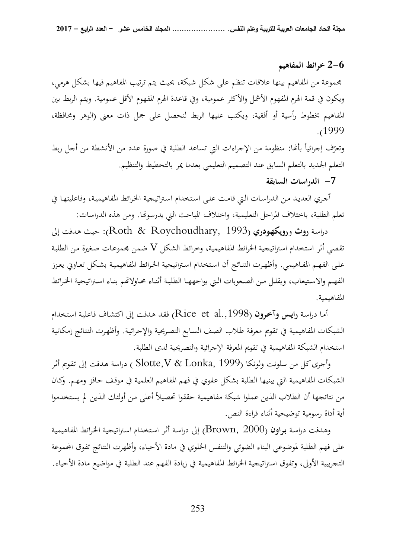#### **6-2 خرائط المفاهيم**

مجموعة من المفاهيم بينها علاقات تنظم على شكل شبكة ، بحيث يتم ترتيب المفاهيم فيها بشكل هرمي، ويكون في قمة الهرم المفهوم الأشمل والأكثر عمومية، وفي قاعدة الهرم المفهوم الأقل عمومية . ويتم الربط بين المفاهيم بخطوط رأسية أو أفقية، ويكتب عليها الربط لنحصل على جمل ذات معنى (الوهر ومحافظة، .( 1999

وتعرّف إجرائياً بأنّفا: منظومة من الإجراءات التي تساعد الطلبة في صورة عدد من الأنشطة من أجل ربط التعلم الجديد بالتعلم السابق عند التصميم التعليمي بعدما يمر بالتخطيط والتنظيم.

## **7- الدراسات السابقة**

ّ جـري ال ا عديـد مـن الدراسـات الـتي قامـت علـى اسـتخدام اسـتراتيجية الخـرائط المفاهيميـة، وفاعليتهـا في تعلم الطلبة، باختلاف المراحل التعليمية، واختلاف المباحث التي يدرسونها. ومن هذه الدراسات:

 دراسـة **روث** و **رويكهـودري** ( 1993 ,Roychoudhary & Roth : ( حيـث هـدفت إلى تقصي أثر استخدام استراتيجية الخرائط المفاهيمية، وخرائط الشكل V ضمن مجموعـات صـغيرة مـن الطلبـة علـى الفهـم المفـاهيمي. وأظهـرت النتـائج أن اسـتخدام اسـتراتيجية الخـرائط المفاهيميـة بشـكل تعـاوني يعـزز الفهـم والاستيعاب، ويقلـل مـن الصعوبات الـتي يواجههـا الطلبـة أثنـاء محـاولاتّهم بنـاء اسـتراتيجية الخـرائط المفاهيمية.

 أمـا دراسـة **رايـس وآخـرون** ( .,1998al et Rice (فقـد هـدفت إلى اكتشـاف فاعليـة اسـتخدام الشبكات المفاهيمية في تقويم معرفـة طـلاب الصـف السـابع التصـريحية والإجرائيـة . وأظهـرت النتـائج إمكانيـة استخدام الشبكة المفاهيمية في تقويم المعرفة الإجرائية والتصريحية لدى الطلبة.

 وأجرى كل من سلونت ولونكا (1999 ,Lonka & V,Slotte ( دراسة هـدفت إلى تقـويم أثـر الشبكات المفاهيمية التي يبنيها الطلبة بشكل عفوي في فهم المفاهيم العلمية في موقـف حـافز ومهـم. وكـان من نتائجها أن الطلاب الذين عملوا شبكة مفاهيمية حققوا تحصيلاً أعلى مـن أولئـك الـذين لم يسـتخدموا أية أداة رسومية توضيحية أثناء قراءة النص.

 و هـدفت دراسـة **بـراون** ( 2000 ,Brown (إلى دراسـة أثـر اسـتخدام اسـتراتيجية الخـرائط المفاهيميـة على فهم الطلبة لموضوعي البناء الضوئي والتنفس الخلوي في مادة الأحياء، وأظهرت النتائج تفوق اموعة التجريبية الأولى، وتفوق استراتيجية الخرائط المفاهيمية في زيادة الفهم عند الطلبة في مواضيع مادة الأحياء.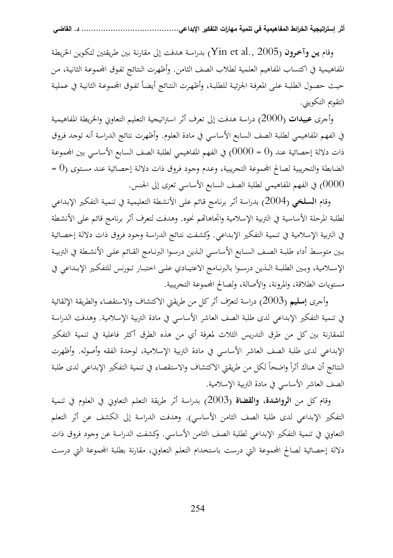وقام **يـن وآخـرون** ( 2005 .,al et Yin (بدراسـة هـدفت إلى مقارنـة بـين طـريقتين لتكـوين الخريطـة المفاهيمية في اكتساب المفاهيم العلمية لطلاب الصف الثامن. وأظهرت النتائج تفوق المحموعة الثانية، من حيث حصول الطلبة على المعرفة الجزئية للطلبة، وأظهرت النتائج أيضاً تفوق المحموعة الثانية في عملية التقويم التكويني.

 و أجرى **عبيدات** ( 2000) دراسة هدفت إلى تعرف أثر استراتيجية التعليم التعاوني والخريطة المفاهيمية في الفهم المفاهيمي لطلبة الصف السابع الأساسي في مادة العلوم . وأظهرت نتائج الدراسة أنه توجد فـروق ذات دلالة إحصائية عند (0 = 0000) في الفهم المفاهيمي لطلبة الصف السابع الأساسي بين المحموعة الضابطة والتجريبية لصالح المحموعة التجريبية، وعدم وجود فروق ذات دلالة إحصائية عند مستوى (0 = 0000) في الفهم المفاهيمي لطلبة الصف السابع الأساسي تعزى إلى الجنس.

 و قام **السلخي** ( 2004) بدراسة أثـر برنـامج قـائم علـى الأنشـطة التعليميـة في تنميـة التفكـير الإبـداعي لطلبة المرحلة الأساسية في التربية الإسلامية واتجاهاتهم نحوه. وهدفت لتعرف أثر برنامج قائم على الأنشطة في التربية الإسلامية في تنميـة التفكـير الإبـداعي. و كشـفت نتـائج الدراسـة وجـود فـروق ذات دلالـة إحصـائية بــين متوســط أداء طلبــة الصــف الســابع الأساســي الــذين درســوا البرنــامج القــائم علــى الأنشــطة في التربيــة الإســلامية، وبــين الطلبــة الــذين درســوا بالبرنــامج الاعتيــادي علــى اختبــار تــورنس للتفكــير الإبــداعي في مستويات الطلاقة، والمرونة، والأصالة ، ولصالح اموعة التجريبية.

وأجرى **إسليم** (2003) دراسة لتعرّف أثر كل من طريقتي الاكتشاف والاستقصاء والطريقة الإلقائية في تنمية التفكير الإبداعي لدى طلبة الصف العاشر الأساسي في مادة التربية الإسلامية. و هدفت الدراسة للمقارنة بين كل من طرق التدريس الثلاث لمعرفة أي من هذه الطرق أكثر فاعلية في تنمية التفكير الإبداعي لدى طلبة الصف العاشر الأساسي في مادة التربية الإسلامية، لوحدة الفقه وأصوله. و أظهرت النتائج أن هناك أثراً واضحاً لكل من طريقتي الاكتشاف والاستقصاء في تنمية التفكير الإبداعي لدى طلبة الصف العاشر الأساسي في مادة التربية الإسلامية .

 وقام كل من **الرواشدة، والقضاة** ( 2003) بدراسة أثر طريقة التعلم التعاوني في العلوم في تنمية التفكير الإبداعي لدى طلبة الصف الثامن الأساسي). وهدفت الدراسة إلى الكشف عن أثر التعلم التعاويي في تنمية التفكير الإبداعي لطلبة الصف الثامن الأساسي. وكشفت الدراسة عن وجود فروق ذات دلالة إحصائية لصالح المحموعة التي درست باستخدام التعلم التعاوني، مقارنة بطلبة المحموعة التي درست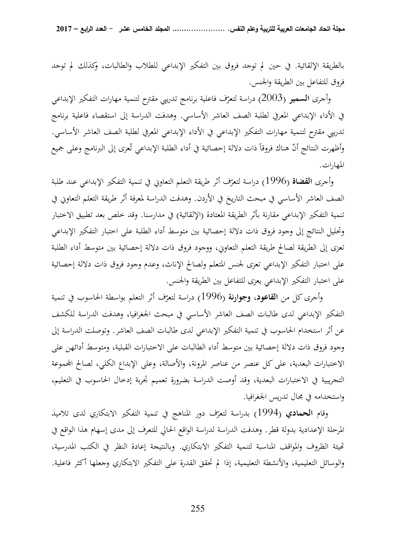بالطريقة الإلقائية . في حين لم توجد فروق بين التفكير الإبداعي للطلاب والطالبات ، وكذلك لم توجد فروق للتفاعل بين الطريقة والجنس .

وأجرى **السمير** (2003) دراسة لتعرّف فاعلية برنامج تدريبي مقترح لتنمية مهارات التفكير الإبداعي في الأداء الإبداعي المعرفي لطلبة الصف العاشر الأساسي. و هدفت الدراسة إلى استقصاء فاعلية برنامج تدريبي مقترح لتنمية مهارات التفكير الإبداعي في الأداء الإبداعي المعرفي لطلبة الصف العاشر الأساسي. وأظهرت النتائج أنّ هناك فروقاً ذات دلالة إحصائية في أداء الطلبة الإبداعي تُعزى إلى البرنامج وعلى جميع المهارات .

وأجرى **القضاة** (1996) دراسة لتعرّف أثر طريقة التعلم التعاوني في تنمية التفكير الإبداعي عند طلبة الصف العاشر الأساسي في مبحث التاريخ في الأردن. و هدفت الدراسة لمعرفة أثر طريقة التعلم التعاوني في تنمية التفكير الإبداعي مقارنة بأثر الطريقة المعتادة (الإلقائية) في مدارسنا. وقد خلص بعد تطبيق الاختبار وتحليل النتائج إلى وجود فروق ذات دلالة إحصائية بين متوسط أداء الطلبة على اختبار التفكير الإبداعي تعزى إلى الطريقة لصالح طريقة التعلم التعاوني، ووجود فروق ذات دلالة إحصائية بين متوسط أداء الطلبة على اختبار التفكير الإبداعي تعزى لجنس المتعلم ولصالح الإناث، وعدم وجود فروق ذات دلالة إحصائية على اختبار التفكير الإبداعي يعزى للتفاعل بين الطريقة والجنس.

وأجرى كل من **القاعود، وجوارنة** (1996) دراسة لتعرّف أثر التعلم بواسطة الحاسوب في تنمية التفكير الإبداعي لدى طالبات الصف العاشر الأساسي في مبحث الجغرافيا، و هدفت الدراسة للكشف عن أثر استخدام الحاسوب في تنمية التفكير الإبداعي لدى طالبات الصف العاشر. و توصلت الدراسة إلى وجود فروق ذات دلالة إحصائية بين متوسط أداء الطالبات على الاختبارات القبلية، ومتوسط أدائهن على الاختبارات البعدية، على كل عنصر من عناصر المرونة، والأصالة، وعلى الإبداع الكلي، لصالح اموعة التجريبية في الاختبارات البعدية ، وقد أوصت الدراسة بضرورة تعميم تجربة إدخال الحاسوب في التعليم، واستخدامه في مجال تدريس الجغرافيا.

وقام ا**لحمادي** (1994) بدراسة لتعرّف دور المناهج في تنمية التفكير الابتكاري لدى تلاميذ المرحلة الإعدادية بدولة قطر. و هدفت الدراسة لدراسة الواقع الحالي للتعرف إلى مدى إسهام هذا الواقع في تميئة الظروف والمواقف المناسبة لتنمية التفكير الابتكاري. وبالنتيجة إعادة النظر في الكتب المدرسية، والوسائل التعليمية، والأنشطة التعليمية ، إذا لم تحقق القدرة على التفكير الابتكاري وجعلها أكثر فاعلية .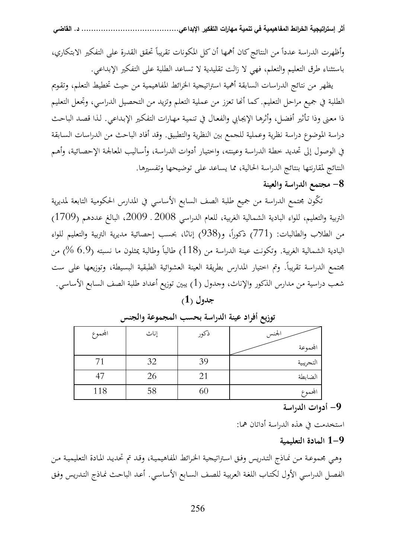وأظهرت الدراسة عدداً من النتائج كان أهمها أن كل المكونات تقريباً تحقق القدرة على التفكير الابتكاري، باستثناء طرق التعليم والتعلم ، فهي لا زالت تقليدية لا تساعد الطلبة على التفكير الإبداعي.

 يظهر من نتائج الدراسات السابقة أهمية استراتيجية الخرائط المفاهيمية من حيث تخطيط التعلم، وتقـويم الطلبة في جميع مراحل التعليم. كما أنَّما تعزز من عملية التعلم وتزيد من التحصيل الدراسي، وتجعل التعليم ذا معـنى وذا تـأثير أفضـل، وأثرهـا الإيجـابي والفعـال في تنميـة مهـارات التفكـير الإبـداعي. لـذا قصـد الباحـث دراسة الموضوع دراسة نظرية وعملية للجمع بين النظرية والتطبيق . وقد أفاد الباحث من الدراسات السـابقة في الوصول إلى تحديد خطـة الدراسـة وعينتـه، واختيـار أدوات الدراسـة، وأسـاليب المعالجـة الإحصـائية، وأهـم النتائج لمقارنتها بنتائج الدراسة الحالية ، مما يساعد على توضيحها وتفسيرها.

## **8- مجتمع الدراسة والعينة**

تكّون مجتمع الدراسة من جميع طلبة الصف السابع الأساسي في المدارس الحكومية التابعة لمديرية التربية والتعليم، للواء البادية الشمالية الغربية، للعام الدراسي 2008 ـ 2009، البالغ عددهم (1709) من الطلاب والطالبات: (771) ذكوراً، و(938) إناثا، بحسب إحصائية مديرية التربية والتعليم للواء البادية الشمالية الغربية. وتكونت عينة الدراسة من (118) طالباً وطالبة يمثلون ما نسبته (6.9 %) من مجتمع الدراسة تقريباً. وتم اختيار المدارس بطريقة العينة العشوائية الطبقية البسيطة، وتوزيعها على ست شعب دراسية من مدارس الذكور والإناث ، وجدول (1) يبين توزيع أعداد طلبة الصف السابع الأساسي .

|  | جدول $\left(1\right)$ |
|--|-----------------------|
|--|-----------------------|

| المحموع | إناث | ذكور | الجنس     |
|---------|------|------|-----------|
|         |      |      | المحموعة  |
|         | 32   | 39   | التجريبية |
|         | 26   |      | الضابطة   |
| 118     | 58   |      | المحموع   |

## **توزيع أفراد عينة الدراسة بحسب المجموعة والجنس**

#### **أد 9- وات الدراسة**

استخدمت في هذه الدراسة أداتان هما:

## **9-1 المادة التعليمية**

وهـي مجموعـة مـن نمـاذج التـدريس وفـق اسـتراتيجية الخـرائط المفاهيميـة، وقـد تم تحديـد المـادة التعليميـة مـن الفصـل الدراسـي الأول لكتـاب اللغـة العربيـة للصـف السـابع الأساسـي. أعـد الباحـث نمـاذج التـدريس وفـق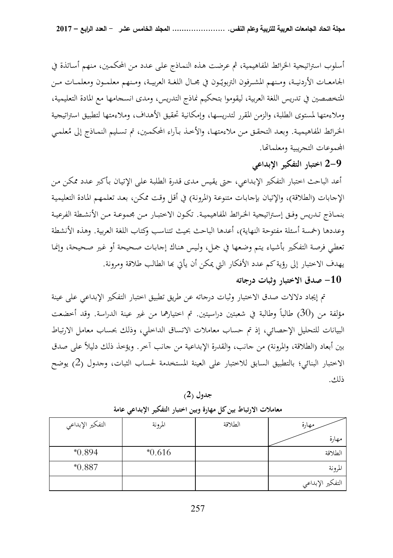أسلوب استراتيجية الخرائط المفاهيمية، ثم عرضت هـذه النمـاذج علمي عـدد مـن المحكمـين، مـنهم أسـاتذة في الجامعـات الأردنيـة، ومـنهم المشـرفون التربويّـون في مجـال اللغـة العربيـة، ومـنهم معلمـون ومعلمــات مـن المتخصصين في تدريس اللغة العربية، ليقوموا بتحكيم نماذج التدريس ، ومدى انسجامها مع المادة التعليمية، وملاءمتها لمستوى الطلبة، والزمن المقرر لتدريسها، وإمكانية تحقيق الأهداف ، وملاءمتها لتطبيق استراتيجية الخرائط المفاهيمية. وبعد التحقق من ملاءمتهـا، والأخذ بآراء المحكمـين، تم تسـليم النمـاذج إلى مُعلمـي المجموعات التجريبية ومعلماتها.

 **-2 9 اختبار التفكير الإبداعي** 

أعد الباحث اختبار التفكير الإبـداعي، حـتى يقـيس مـدى قـدرة الطلبـة علـى الإتيـان بـأكبر عـدد ممكـن مـن الإجابات (الطلاقة)، والإتيان بإجابـات متنوعـة (المرونـة) في أقـل وقـت ممكـن، بعـد تعلمهـم المـادة التعليميـة بنمــاذج تــدريس وفــق إســتراتيجية الخــرائط المفاهيميــة. تكــون الاختبــار مــن مجموعــة مــن الأنشــطة الفرعيــة وعددها (خمسة أسئلة مفتوحة النهاية)، أعدها الباحث بحيث تتناسب وكتاب اللغة العربية. وهذه الأنشطة تعطي فرصة التفكير بأشياء يتم وضعها في جمل، وليس هناك إجابات صحيحة أو غير صحيحة، وإنما يهدف الاختبار إلى رؤية كم عدد الأفكار التي يمكن أن يأتي بما الطالب طلاقة ومرونة.

## **10 - صدق الاختبار وثبات درجاته**

 تم إيجاد دلالات صدق الاختبار وثبات درجاته عن طريق تطبيق اختبار التفكير الإبداعي على عينة مؤلفة من (30) طالباً وطالبة في شعبتين دراسيتين. تم اختيارهما من غير عينة الدراسة. وقد أخضعت البيانات للتحليل الإحصائي، إذ تم حساب معاملات الاتساق الداخلي، وذلك بحساب معامل الارتباط بين أبعاد (الطلاقة، والمرونة) من جانب، والقدرة الإبداعية من جانب آخر. ويؤخذ ذلك دليلاً على صدق الاختبار البنائي؛ بالتطبيق السابق للاختبار على العينة المستخدمة لحساب الثبات، وجدول (2) يوضح ذلك.

**جدول )2(** 

| التفكير الإبداعي | المرونة  | الطلاقة | مهارة                         |
|------------------|----------|---------|-------------------------------|
|                  |          |         | مهارة                         |
| $*0.894$         | $*0.616$ |         | الطلاقة                       |
| $*0.887$         |          |         | المرونة                       |
|                  |          |         | <sub>ا</sub> التفكير الإبداعي |

**معاملات الارتباط بين كل م هارة وبين اختبار التفكير الإبداعي عامة**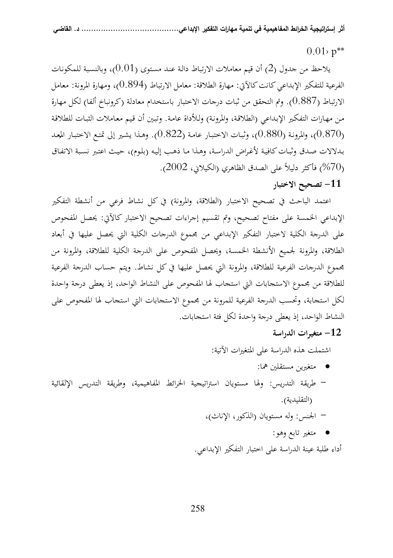## $0.01$   $p^{**}$

 يلاحظ من جدول 2( ) أن قيم معاملات الارتباط دالـة عنـد مسـتوى (0.01 ،) وبالنسـبة للمكونـات الفرعية للتفكير الإبداعي كانت كالآتي: مهارة الطلاقة: معامل الارتباط (0.894)، ومهارة المرونة: معامل الارتباط (0.887 . ) وتم التحقق من ثبات درجات الاختبار باستخدام معادلة (كرونباخ ألفا) لكل مهارة مـن مهـارات التفكـير الإبـداعي (الطلاقـة، والمرونـة) ولـلأداة عامـة. و تبـين أن قـيم معـاملات الثبـات للطلاقـة ر0.870)، والمرونـة (0.880)، وثبـات الاختبـار عامـة (0.822). وهـذا يشـير إلى تمتـع الاختبـار المعـد ∫<br>∫ بـدلالات صـدق وثبـات كافيـة لأغـراض الدراسـة، وهـذا مـا ذهـب إليـه (بلـوم)، حيـث اعتـبر نسـبة الاتفـاق ) فأكثر دليلاً على الصدق الظاهري (الكيلاني، 2002). (200

**11 - تصحيح الاختبار** 

 اعتمد الباحث في تصحيح الاختبار ( الطلاقة، والمرونة) في كل نشاط فرعي من أنشطة التفكير الإبداعي الخمسة على مفتاح تصحيح، وتم تقسيم إجراءات تصحيح الاختبار كالآتي: يحصل المفحوص على الدرجة الكلية لاختبار التفكير الإبداعي من مجموع الدرجات الكلية التي يحصل عليها في أبعاد الطلاقة، والمرونة لجميع الأنشطة الخمسة، ويحصل المفحوص على الدرجة الكلية للطلاقة، والمرونة من مجموع الدرجات الفرعية للطلاقة، والمرونة التي يحصل عليها في كل نشاط. و يتم حساب الدرجة الفرعية للطلاقة من مجموع الاستجابات التي استجاب لها المفحوص على النشاط الواحد، إذ يعطى درجة واحدة لكل استجابة، وتحسب الدرجة الفرعية للمرونة من مجموع الاستجابات التي استجاب لها المفحوص على النشاط الواحد ، إذ يعطى درجة واحدة لكل فئة استجابات.

**12 - متغيرات الدراسة** 

اشتملت هذه الدراسة على المتغيرات الآتية:

- متغيرين مستقلين هما: - طريقة التدريس: ولها مستويان استراتيجية الخرائط المفاهيمية، وطريقة التدريس الإلقائية (التقليدية). - الجنس: وله مستويان (الذكور، الإناث)،
	- - متغير تابع وهو:

أداء طلبة عينة الدراسة على اختبار التفكير الإبداعي.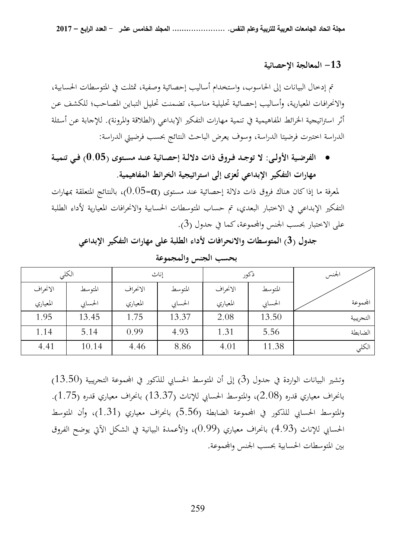#### **13 - المعالجة الإحصائية**

 تم إدخال البيانات إلى الحاسوب، واستخدام أساليب إحصائية وصفية، تمثلت في المتوسطات الحسابية، والانحرافـات المعياريـة، وأسـاليب إحصـائية تحليليـة مناسـبة، تضـمنت تحليـل التبـاين المصـاحب؛ للكشـف عـن أثر استراتيجية الخرائط المفاهيمية في تنمية مهارات التفكير الإبداعي (الطلاقة والمرونة) . للإجابة عـن أسـئلة الدراسة اختبرت فرضيتا الدراسة، وسوف يعرض الباحث النتائج بحسب فرضيتي الدراسة:

• **الفرضــية الأولــى: لا توجــد فــروق ذات دلالــة إحصــائية عنــد مســتوى (0.05) فــي تنميــة**  مهارات التفكير الإبداعي تُعزى إلى استراتيجية الخرائط المفاهيمية.

لمعرفة ما إذا كان هناك فروق ذات دلالة إحصائية عند مستوى (Φ=0.05)، بالنتائج المتعلقة بمهارات التفكير الإبداعي في الاختبار البعدي، تم حساب المتوسطات الحسابية والانحرافات المعيارية لأداء الطلبة على الاختبار بحسب الجنس والمحموعة، كما في جدول (3).

**جد 3( ول ) المتوسطات والانحرافات لأدا الء طلبة على مهارات التفكير الإبداعي** 

|          | الكلى   |          | إناث    |          | ذكور    | لجنس      |
|----------|---------|----------|---------|----------|---------|-----------|
| الانحراف | المتوسط | الانحراف | المتوسط | الانحراف | المتوسط |           |
| المعياري | الحسابي | المعياري | الحسابي | المعياري | الحسابي | المحموعة  |
| 1.95     | 13.45   | 1.75     | 13.37   | 2.08     | 13.50   | التجريبية |
| 1.14     | 5.14    | 0.99     | 4.93    | 1.31     | 5.56    | الضابطة   |
| 4.41     | 10.14   | 4.46     | 8.86    | 4.01     | 11.38   | الكلي     |

**بحسب الجنس والمجموعة** 

وتشير البيانات الواردة في جدول 3( ) إلى أن المتوسط الحسابي للذكور في اموعة التجريبية (13.50) بانحراف معياري قدره (2.08)، والمتوسط الحسابي للإناث ( 13.37) بانحراف معياري قدره ( 1.75). والمتوسط الحسابي للذكور في اموعة الضابطة (5.56) بانحراف معياري (1.31 ،) وأن المتوسط الحسابي للإناث ( 4.93) بانحراف معياري (0.99 ، ) والأعمدة البيانية في الشكل الآتي يوضح الفروق بين المتوسطات الحسابية بحسب الجنس واموعة.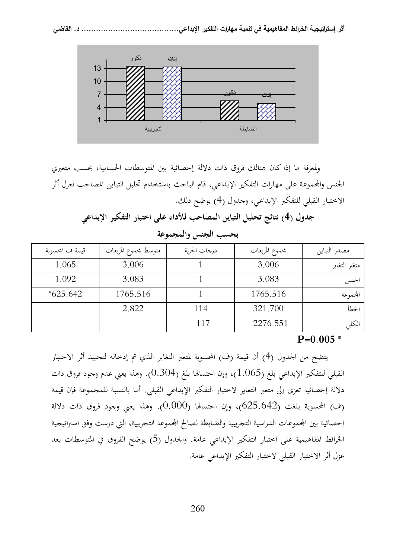

 ولمعرفة ما إذا كان هنالك فروق ذات دلالة إحصائية بين المتوسطات الحسابية ، بحسب متغيري الجنس واموعة على مهارات التفكير الإبداعي، قام الباحث باستخدام تحليل التباين المصاحب لعزل أثر الاختبار القبلي للتفكير الإبداعي، وجدول 4( ) يوضح ذلك.

**جدول 4( ) نتائج تحليل التباين المصاحب للأداء على اختبار التفكير الإبداعي** 

| قيمة ف المحسوبة | متوسط محموع المربعات | درجات الحرية | محموع المربعات | مصدر التباين  |
|-----------------|----------------------|--------------|----------------|---------------|
| 1.065           | 3.006                |              | 3.006          | متغير التغاير |
| 1.092           | 3.083                |              | 3.083          | الجنس         |
| $*625.642$      | 1765.516             |              | 1765.516       | المحموعة      |
|                 | 2.822                | 114          | 321.700        | المنطأ        |
|                 |                      | 117          | 2276.551       | الكلي         |

**بحسب الجنس والمجموعة** 

**P=0.005 \***

 يتضح من الجدول 4( ) أن قيمة (ف) المحسوبة لمتغير التغاير الذي تم إدخاله لتحييد أثر الاختبار القبلي للتفكير الإبداعي بلغ ( 1.065)، وإن احتمالها ( لغب 0.304 .) وهذا يعني عدم وجود فروق ذات دلالة إحصائية تعزى إلى متغير التغاير لاختبار التفكير الإبداعي القبلي . أما بالنسبة للمجموعة فإن قيمة (ف) المحسوبة بلغت (625.642)، وإن احتمالها (0.000 .) وهذا يعني وجود فروق ذات دلالة إحصائية بين المحموعات الدراسية التجريبية والضابطة لصالح المحموعة التجريبية، التي درست وفق استراتيجية الخرائط المفاهيمية على اختبار التفكير الإبداعي عامة. والجدول 5( ) يوضح الفروق في المتوسطات بعد عزل أثر الاختبار القبلي لاختبار التفكير الإبداعي عامة .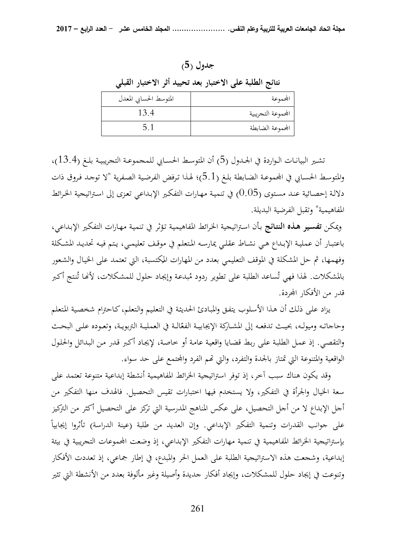**جدول )5(** 

**نتائج الطلبة على الا ختبار بعد تحييد أثر الاختبار القبلي** 

| المتوسط الحسابي المعدل | المحموعة           |
|------------------------|--------------------|
| 13.4                   | المحموعة التحريبية |
|                        | الجموعة الضابطة    |

تشـير البيانـات الـواردة في الجـدول (5) أن المتوسـط الحسـابي للمجموعـة التجريبيـة بلـغ (13.4)، والمتوسط الحسـابي في المحموعـة الضـابطة بلـغ (5.1)؛ لهـذا تـرفض الفرضية الصـفرية "لا توجـد فـروق ذات دلالـة إحصـائية عنـد مسـتوى (0.05) في تنميـة مهـارات التفكـير الإبـداعي تعـزى إلى اسـتراتيجية الخـرائط المفاهيمية" وتقبل الفرضية البديلة.

ويمكـن **تفسـير هـذه النتـائج** بـأن اسـتراتيجية الخـرائط المفاهيميـة تـؤثر في تنميـة مهـارات التفكـير الإبـداعي ، باعتبــار أن عمليــة الإبــداع هــي نشــاط عقلــي يمارســه المــتعلم في موقــف تعليمــي ، يــتم فيــه تحديــد المشــكلة وفهمها، ثم حل المشكلة في الموقف التعليمي بعدد من المهارات المكتسبة، التي تعتمد على الخيال والشعور<br>منذ كما من المعامل المحمد على المساحل المعامل المعامل المستقرر المنظمات المحمد على الخيال والشعور بالمشكلات. لهذا فهي تُساعد الطلبة على تطوير ردود مُبدعة وإيجاد حلول للمشكلات، لأنَّما تُنتج أكبر قدر من الأفكار المحردة.

 يـزاد علـى ذلـك أن هـذا الأسـلوب يتفـق و المبـادئ الحديثـة في التعلـيم والـتعلم ،كـاحترام شخصـية المـتعلم وحاجاتـه وميولـه، بحيـث تدفعـه إلى المشـاركة الإيجابيـة الفعّالـة في العمليـة التربويـة، وتعـوده علـى البحـث والتقصـي . إذ عمـل الطلبـة علـى ربـط قضـايا واقعيـة عامـة أو خاصـة ، لإيجـاد أكـبر قـدر مـن البـدائل والحلـول الواقعية والمتنوعة التي تمتاز بالجدة والتفرد، والتي تمم الفرد والمجتمع على حد سواء.

 وقد يكون هناك سبب آخر، إذ توفر استراتيجية الخرائط المفاهيمية أنشطة إبداعية متنوعة تعتمد على سعة الخيال والجرأة في التفكير ، ولا يستخدم فيها اختبارات تقيس التحصيل . فالهدف منها التفكير من أجل الإبداع لا من أجل التحصيل ، على عكس المناهج المدرسية التي تركز على التحصيل أكثر من التركيز ً على جوانب القدرات وتنمية التفكير الإبداعي. وإن العديد من طلبة (عينة الدراسة) تأثروا إيجابياً بإستراتيجية الخرائط المفاهيمية في تنمية مهارات التفكير الإبداعي، إذ وضعت المحموعات التجريبية في بيئة إبداعية، وشجعت هذه الاستراتيجية الطلبة على العمل الحر والمبدع، في إطار جماعي، إذ تعددت الأفكار وتنوعت في إيجاد حلول للمشكلات، و إيجاد أفكار جديدة وأصيلة وغير مألوفة بعدد من الأنشطة التي تثير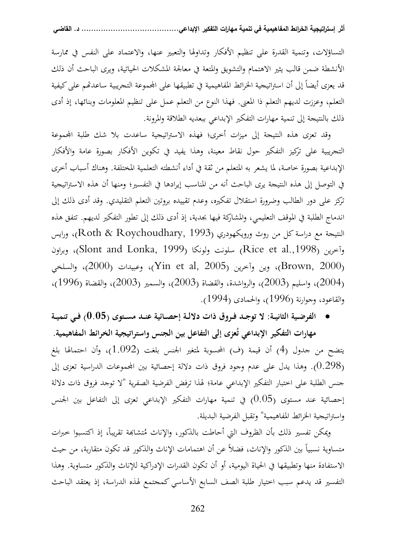التساؤلات، وتنمية القدرة على تنظيم الأفكار وتداولها والتعبير عنها، والاعتماد على النفس في ممارسة الأنشطة ضمن قالب يثير الاهتمام والتشويق والمتعة في معالجة المشكلات الحياتية، و يرى الباحث أن ذلك قد يعزى أيضاً إلى أن استراتيجية الخرائط المفاهيمية في تطبيقها على الجموعة التجريبية ساعدتهم على كيفية التعلم، وعززت لديهم التعلم ذا المعنى. فهذا النوع من التعلم عمل على تنظيم المعلومات وبنائها، إذ أدى ذلك بالنتيجة إلى تنمية مهارات التفكير الإبداعي ببعديه الطلاقة والمرونة.

 وقد تعزى هذه النتيجة إلى ميزات أخرى؛ فهذه الاستراتيجية ساعدت بلا شك طلبة اموعة التجريبية على تركيز التفكير حول نقاط معينة، وهذا يفيد في تكوين الأفكار بصورة عامة والأفكار الإبداعية بصورة خاصة، لما يشعر به المتعلم من ثقة في أداء أنشطته التعلمية المختلفة. وهناك أسباب أخرى في التوصل إلى هذه النتيجة يرى الباحث أنه من المناسب إيرادها في التفسير؛ ومنها أن هذه الاستراتيجية تركز على دور الطالب وضرورة استقلال تفكيره، وعدم تقييده بروتين التعلم التقليدي. وقد أدى ذلك إلى اندماج الطلبة في الموقف التعليمي، والمشاركة فيها بجدية، إذ أدى ذلك إلى تطور التفكير لديهم. تتفق هذه النتيجة مع دراسة كل من روث ورويكهودري (1993 ,Roychoudhary & Roth و )، رايس وآخرين (1998,Rice et al، سلونت ولونكا (Slont and Lonka, 1999)، وبراون ، وين وآخرين (2005 Yin et al, 2005)، والسلخي (2000)، والسلخي (2000)، والسلخي ( $\sim$ واسليم (2003)، والرواشدة، والقضاة (2003)، والسمير (2003)، والقضاة (1996)، (1996) والقاعود، وجوارنة (1996)، والحمادى (1994).

• **الفرضــية الثانيــة: لا توجــد فــروق ذات دلالــة إحصــائية عنــد مســتوى (0.05) فــي تنميــة** 

**ُ مهارات التفكير الإبداعي عزى إلى التفاعل بين الجنس واستراتيجية الخرائط المفاهيمية. ت** يتضح من جدول (4) أن قيمة (ف) المحسوبة لمتغير الجنس بلغت (1.092)، وأن احتمالها بلغ (0.298 .) وهذا يدل على عدم وجود فروق ذات دلالة إحصائية بين اموعات الدراسية تعزى إلى جنس الطلبة على اختبار التفكير الإبداعي عامة؛ لهذا ترفض الفرضية الصفرية "لا توجد فروق ذات دلالة إحصائية عند مستوى (0.05) في تنمية مهارات التفكير الإبداعي تعزى إلى التفاعل بين الجنس واستراتيجية الخرائط المفاهيمية" وتقبل الفرضية البديلة .

ويمكن تفسير ذلك بأن الظروف التي أحاطت بالذكور، والإناث مُتشابَحة تقريباً، إذ اكتسبوا خبرات متساوية نسبياً بين الذكور والإناث، فضلاً عن أن اهتمامات الإناث والذكور قد تكون متقاربة، من حيث الاستفادة منها وتطبيقها في الحياة اليومية، أو أن تكون القدرات الإدراكية للإناث و الذكور متساوية. وهذا التفسير قد يدعم سبب اختيار طلبة الصف السابع الأساسي كمجتمع لهذه الدراسة ، إذ يعتقد الباحث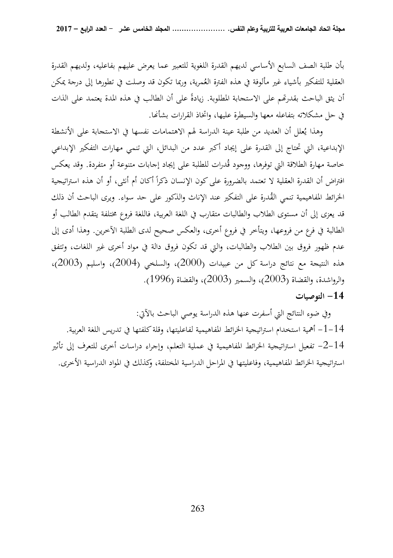بأن طلبة الصف السابع الأساسي لديهم القدرة اللغوية للتعبير عما يعرض عليهم بفاعليه، ولديهم القدرة العقلية للتفكير بأشياء غير مألوفة في هذه الفترة العُمرية، وربما تكون قد وصلت في تطورها إلى درجة يمكن أن يثق الباحث بقدرتهم على الاستجابة المطلوبة. زيادةً على أن الطالب في هذه المدة يعتمد على الذات في حل مشكلاته بتفاعله معها والسيطرة عليها، واتخاذ القرارات بشأنها.

وهذا يُعلل أن العديد من طلبة عينة الدراسة لهم الاهتمامات نفسها في الاستجابة على الأنشطة الإبداعية ، التي تحتاج إلى القدرة على إيجاد أكبر عدد من البدائل ، التي تنمي مهارات التفكير الإبداعي خاصة مهارة الطلاقة التي توفرها، ووجود قُدرات للطلبة على إيجاد إجابات متنوعة أو متفردة. وقد يعكس افتراض أن القدرة العقلية لا تعتمد بالضرورة على كون الإنسان ذكراً أكان أم أنثى، أو أن هذه استراتيجية الخرائط المفاهيمية تنمي القُدرة على التفكير عند الإناث والذكور على حد سواء. ويرى الباحث أن ذلك قد يعزى إلى أن مستوى الطلاب والطالبات متقارب في اللغة العربية، فاللغة فروع مختلفة يتقدم الطالب أو الطالبة في فرع من فروعها، ويتأخر في فروع أخرى، والعكس صحيح لدى الطلبة الآخرين. وهذا أدى إلى عدم ظهور فروق بين الطلاب والطالبات، والتي قد تكون فروق دالة في مواد أخرى غير اللغات، وتتفق هذه النتيجة مع نتائج دراسة كل من عبيدات (2000)، و السلخي (2004)، و اسليم (2003 ، ) والرواشدة، والقضاة (2003)، والسمير (2003)، والقضاة (1996).

## **14 - التوصيات**

 وفي ضوء النتائج التي أسفرت عنها هذه الدراسة يوصي الباحث بالآتي: 14 -1- أهمية استخدام استراتيجية الخرائط المفاهيمية لفاعليتها، وقلة كلفتها في تدريس اللغة العربية . 14 -2- تفعيل استراتيجية الخرائط المفاهيمية في عملية التعلم، وإجراء دراسات أخرى للتعرف إلى تأثير استراتيجية الخرائط المفاهيمية، وفاعليتها في المراحل الدراسية المختلفة، وكذلك في المواد الدراسية الأخرى.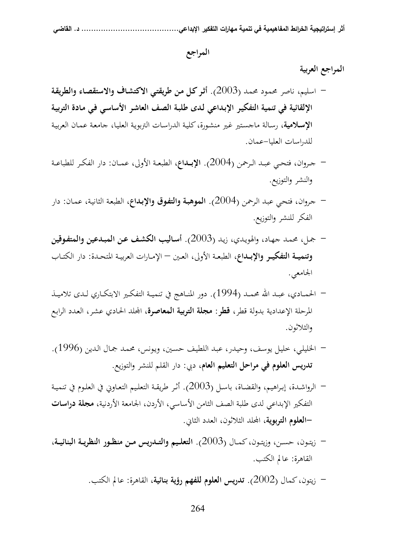#### **المراجع**

#### **المراجع العربية**

- اسليم، ناصر محمـود محمـد (2003). **أثـر كـل مـن طريقتـي الاكتشـاف والاستقصـاء والطريقـة الإلقائية في تنمية التفكيـر الإبـداعي لـدى طلبـة الصـف العاشـر الأساسـي فـي مـادة التربيـة الإسـلامية**، رسـالة ماجسـتير غـير منشـورة، كليـة الدراسـات التربويـة العليـا، جامعـة عمـان العربيـة للدراسات العليا-عمان.
- جــروان، فتحــي عبــد الــرحمن (2004). **الإبــداع**، الطبعــة الأولى، عمــان: دار الفكــر للطباعــة والنشر والتوزيع.
- جـروان، فتحـي عبـد الـرحمن (2004). **الموهبـة والتفـوق والإبـداع**، الطبعـة الثانيـة، عمـان: دار الفكر للنشر والتوزيع.
- جمـل، محمـد جهـاد، والهويـدي، زيـد (2003). **أسـاليب الكشـف عـن المبـدعين والمتفـوقين وتنميــة التفكيــر والإبــداع**، الطبعــة الأولى، العــين – الإمــارات العربيــة المتحــدة: دار الكتــاب الجامعي.
- الحمــادي، عبــد االله محمــد (1994). دور المنــاهج في تنميــة التفكــير الابتكــاري لــدى تلاميــذ المرحلة الإعدادية بدولة قطر، **قطر: مجلة التربية المعاصرة**، الد الحـادي عشـر، العـدد الرابـع والثلاثون.
- الخليلـي، خليـل يوسـف، وحيـدر، عبـد اللطيـف حسـين، ويـونس، محمـد جمـال الـدين (1996). **تدريس العلوم في مراحل التعليم العام**، دبي: دار القلم للنشر والتوزيع.
- الرواشـدة، إبـراهيم، والقضـاة، باسـل (2003). أثـر طريقـة التعلـيم التعـاوني في العلـوم في تنميـة التفكير الإبداعي لدى طلبة الصف الثامن الأساسي، الأردن، الجامعة الأردنية، **مجلة دراسات -العلوم التربوية**، الد الثلاثون، العدد الثاني.
- زيتــون، حســن، وزيتــون، كمــال (2003). **التعلــيم والتــدريس مــن منظــور النظريــة البنائيــة**، القاهرة: عالم الكتب.
	- زيتون، كمال (2002). **تدريس العلوم للفهم رؤية بنائية**، القاهرة: عالم الكتب.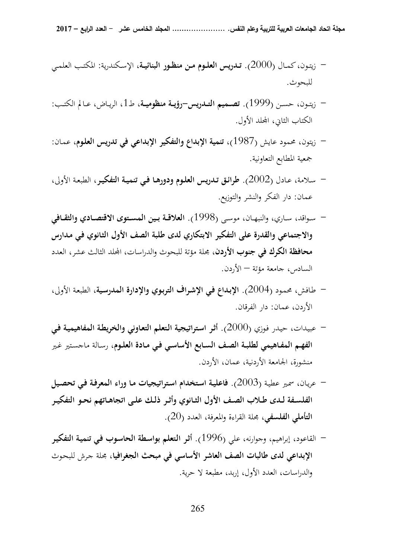- زيتـون، كمــال (2000). **تــدريس العلــوم مــن منظــور البنائيــة**، الإسـكندرية: المكتــب العلمــي للبحوث.
- زيتــون، حســن (1999). **تصــميم التــدريس-رؤيــة منظوميــة**، ط،1 الريــاض، عــالم الكتــب: الكتاب الثاني، الد الأول.
- زيتون، محمود عايش (1987)، **تنمية الإبداع والتفكير الإبداعي في تدريس العلـوم**، عمـان: جمعية المطابع التعاونية.
- سـلامة، عـادل (2002). **طرائـق تـدريس العلـوم ودورهـا فـي تنميـة التفكيـر**، الطبعـة الأولى، عمان: دار الفكر والنشر والتوزيع.
- ســواقد، ســاري، والنبهــان، موســى (1998). **العلاقــة بــين المســتوى الاقتصــادي والثقــافي والاجتماعي والقدرة على التفكير الابتكاري لدى طلبة الصف الأول الثـانوي فـي مـدارس محافظة الكرك في جنوب الأردن**، مجلة مؤتة للبحوث والدراسات، الد الثالث عشر، العدد السادس، جامعة مؤتة – الأردن.
- طـافش، محمـود (2004). **الإبـداع فـي الإشـراف التربـوي والإدارة المدرسـية**، الطبعـة الأولى، الأردن، عمان: دار الفرقان.
- عبيـدات، حيـدر فـوزي (2000). **أثـر اسـتراتيجية الـتعلم التعـاوني والخريطـة المفاهيميـة فـي الفهـم المفـاهيمي لطلبـة الصـف السـابع الأساسـي فـي مـادة العلـوم**، رسـالة ماجسـتير غـير منشورة، الجامعة الأردنية، عمان، الأردن.
- عريـان، سمـير عطيـة (2003). **فاعليـة اسـتخدام اسـتراتيجيات مـا وراء المعرفـة فـي تحصـيل الفلســفة لــدى طــلاب الصــف الأول الثــانوي وأثــر ذلــك علــى اتجاهــاتهم نحــو التفكيــر التأملي الفلسفي**، مجلة القراءة والمعرفة، العدد (20 ).
- القاعود، إبراهيم، وجوارنه، علي (1996). **أثـر الـتعلم بواسـطة الحاسـوب فـي تنميـة التفكيـر الإبداعي لدى طالبات الصف العاشر الأساسي في مبحث الجغرافيا،** مجلة جـرش للبحـوث والدراسات، العدد الأول، إربد، مطبعة لا حرية.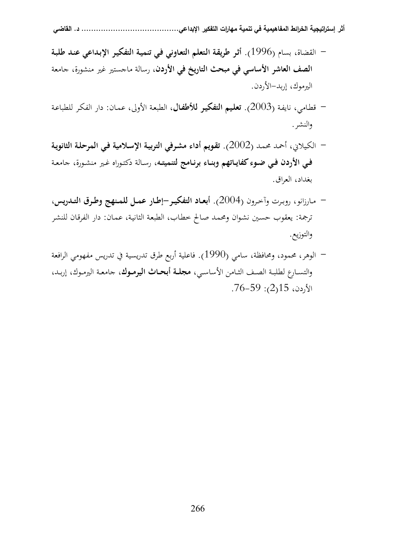- **أثر إستراتيجية الخر ائط المفاهيمية في تنمية مهارات التفكير الإبداعي........................................ د. القاضي**
- القضاة، بسام (1996). **أثـر طريقـة الـتعلم التعـاوني فـي تنميـة التفكيـر الإبـداعي عنـد طلبـة الصف العاشر الأساسي في مبحث التاريخ في الأردن**، رسالة ماجستير غير منشورة، جامعة اليرموك، إربد-الأردن.
- قطـامي، نايفـة (2003). **تعلـيم التفكيـر للأطفـال**، الطبعـة الأولى، عمـان: دار الفكـر للطباعـة والنشر.
- الكـيلاني، أحمـد محمـد (2002). **تقـويم أداء مشـرفي التربيـة الإسـلامية فـي المرحلـة الثانويـة فــي الأردن فــي ضــوء كفايــاتهم وبنــاء برنــامج لتنميتــه**، رسـالة دكتـوراه غـير منشـورة، جامعـة بغداد، العراق.
- مـارزانو، روبـرت وآخـرون (2004). **أبعــاد التفكيــر-إطــار عمــل للمــنهج وطــرق التــدريس**، ترجمة: يعقوب حسـين نشـوان ومحمـد صـالح خطـاب، الطبعـة الثانيـة، عمـان: دار الفرقـان للنشـر والتوزيع.
- الوهر، محمود، ومحافظة، سامي (1990). فاعلية أربع طرق تدريسية في تدريس مفهومي الرافعة والتســارع لطلبــة الصــف الثــامن الأساســي، **مجلــة أبحــاث اليرمــوك**، جامعــة اليرمــوك، إربــد،  $15$ ، 2(2): 76-59.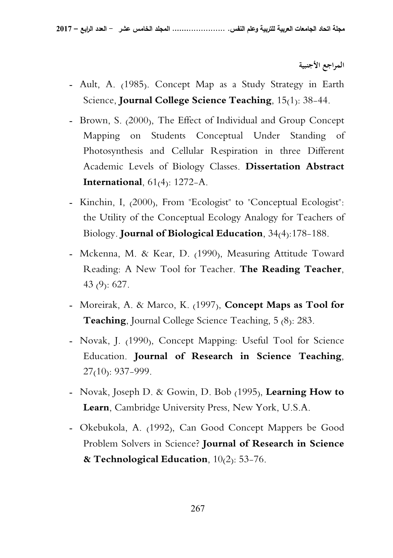**المراجع الأجنبية** 

- Ault, A. (1985). Concept Map as a Study Strategy in Earth Science, **Journal College Science Teaching**, 15(1): 38-44.
- Brown, S. (2000), The Effect of Individual and Group Concept Mapping on Students Conceptual Under Standing of Photosynthesis and Cellular Respiration in three Different Academic Levels of Biology Classes. **Dissertation Abstract International**, 61(4): 1272-A.
- Kinchin, I, (2000), From "Ecologist" to "Conceptual Ecologist": the Utility of the Conceptual Ecology Analogy for Teachers of Biology. **Journal of Biological Education**, 34(4):178-188.
- Mckenna, M. & Kear, D. (1990), Measuring Attitude Toward Reading: A New Tool for Teacher. **The Reading Teacher**, 43 (9): 627.
- Moreirak, A. & Marco, K. (1997), **Concept Maps as Tool for Teaching**, Journal College Science Teaching, 5 (8): 283.
- Novak, J. (1990), Concept Mapping: Useful Tool for Science Education. **Journal of Research in Science Teaching**,  $27(10)$ : 937–999.
- Novak, Joseph D. & Gowin, D. Bob (1995), **Learning How to Learn**, Cambridge University Press, New York, U.S.A.
- Okebukola, A. (1992), Can Good Concept Mappers be Good Problem Solvers in Science? **Journal of Research in Science & Technological Education**, 10(2): 53-76.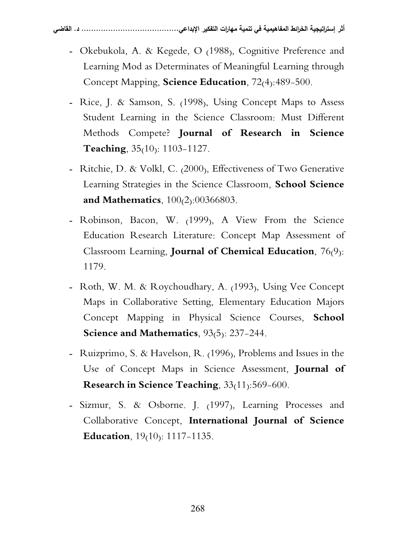- Okebukola, A. & Kegede, O (1988), Cognitive Preference and Learning Mod as Determinates of Meaningful Learning through Concept Mapping, **Science Education**, 72(4):489-500.
- Rice, J. & Samson, S. (1998), Using Concept Maps to Assess Student Learning in the Science Classroom: Must Different Methods Compete? **Journal of Research in Science Teaching**, 35<sub>(10)</sub>: 1103-1127.
- Ritchie, D. & Volkl, C. (2000), Effectiveness of Two Generative Learning Strategies in the Science Classroom, **School Science and Mathematics**, 100(2):00366803.
- Robinson, Bacon, W. (1999), A View From the Science Education Research Literature: Concept Map Assessment of Classroom Learning, **Journal of Chemical Education**, 76(9): 1179.
- Roth, W. M. & Roychoudhary, A. (1993), Using Vee Concept Maps in Collaborative Setting, Elementary Education Majors Concept Mapping in Physical Science Courses, **School Science and Mathematics**, 93(5): 237-244.
- Ruizprimo, S. & Havelson, R. (1996), Problems and Issues in the Use of Concept Maps in Science Assessment, **Journal of Research in Science Teaching**, 33(11):569-600.
- Sizmur, S. & Osborne. J. (1997), Learning Processes and Collaborative Concept, **International Journal of Science Education**, 19(10): 1117-1135.